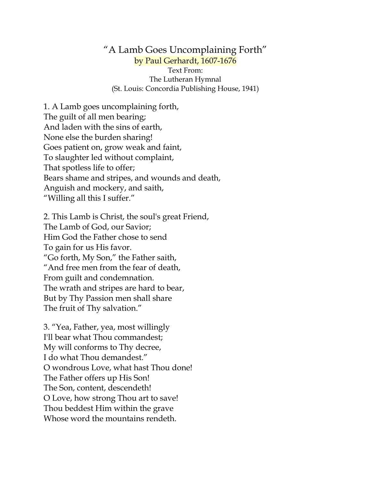"A Lamb Goes Uncomplaining Forth" by Paul Gerhardt, 1607-1676 Text From: The Lutheran Hymnal (St. Louis: Concordia Publishing House, 1941)

1. A Lamb goes uncomplaining forth, The guilt of all men bearing; And laden with the sins of earth, None else the burden sharing! Goes patient on, grow weak and faint, To slaughter led without complaint, That spotless life to offer; Bears shame and stripes, and wounds and death, Anguish and mockery, and saith, "Willing all this I suffer."

2. This Lamb is Christ, the soul's great Friend, The Lamb of God, our Savior; Him God the Father chose to send To gain for us His favor. "Go forth, My Son," the Father saith, "And free men from the fear of death, From guilt and condemnation. The wrath and stripes are hard to bear, But by Thy Passion men shall share The fruit of Thy salvation."

3. "Yea, Father, yea, most willingly I'll bear what Thou commandest; My will conforms to Thy decree, I do what Thou demandest." O wondrous Love, what hast Thou done! The Father offers up His Son! The Son, content, descendeth! O Love, how strong Thou art to save! Thou beddest Him within the grave Whose word the mountains rendeth.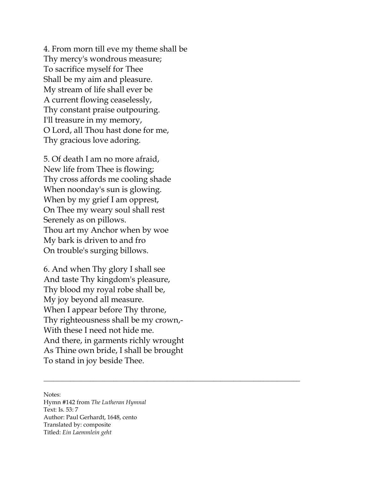4. From morn till eve my theme shall be Thy mercy's wondrous measure; To sacrifice myself for Thee Shall be my aim and pleasure. My stream of life shall ever be A current flowing ceaselessly, Thy constant praise outpouring. I'll treasure in my memory, O Lord, all Thou hast done for me, Thy gracious love adoring.

5. Of death I am no more afraid, New life from Thee is flowing; Thy cross affords me cooling shade When noonday's sun is glowing. When by my grief I am opprest, On Thee my weary soul shall rest Serenely as on pillows. Thou art my Anchor when by woe My bark is driven to and fro On trouble's surging billows.

6. And when Thy glory I shall see And taste Thy kingdom's pleasure, Thy blood my royal robe shall be, My joy beyond all measure. When I appear before Thy throne, Thy righteousness shall be my crown,- With these I need not hide me. And there, in garments richly wrought As Thine own bride, I shall be brought To stand in joy beside Thee.

\_\_\_\_\_\_\_\_\_\_\_\_\_\_\_\_\_\_\_\_\_\_\_\_\_\_\_\_\_\_\_\_\_\_\_\_\_\_\_\_\_\_\_\_\_\_\_\_\_\_\_\_\_\_\_\_\_\_\_\_\_\_\_\_\_\_\_\_\_\_\_\_\_\_\_\_\_

Notes:

Hymn #142 from *The Lutheran Hymnal* Text: Is. 53: 7 Author: Paul Gerhardt, 1648, cento Translated by: composite Titled: *Ein Laemmlein geht*